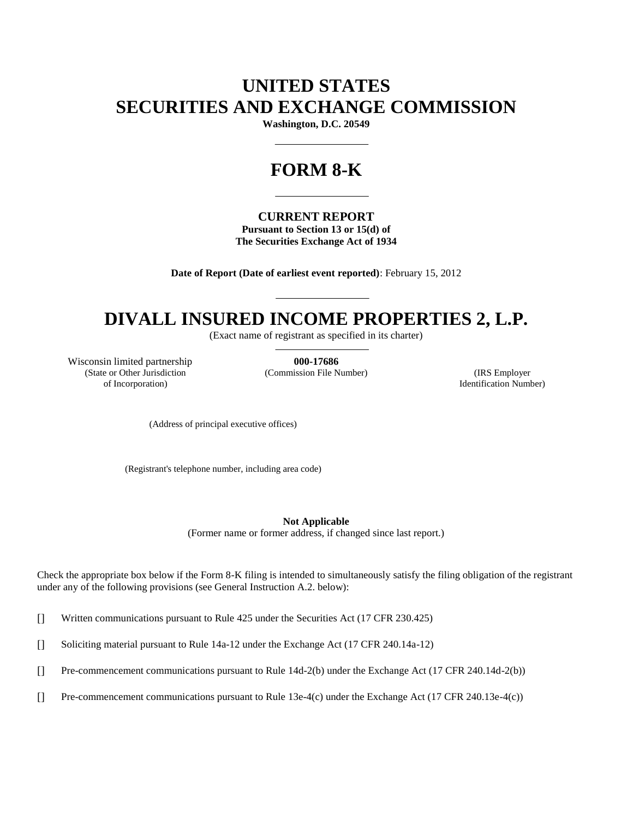# **UNITED STATES SECURITIES AND EXCHANGE COMMISSION**

**Washington, D.C. 20549**

# **FORM 8-K**

### **CURRENT REPORT**

**Pursuant to Section 13 or 15(d) of The Securities Exchange Act of 1934**

**Date of Report (Date of earliest event reported)**: February 15, 2012

# **DIVALL INSURED INCOME PROPERTIES 2, L.P.**

(Exact name of registrant as specified in its charter)

Wisconsin limited partnership **000-17686** (State or Other Jurisdiction of Incorporation)

(Commission File Number) (IRS Employer

Identification Number)

(Address of principal executive offices)

(Registrant's telephone number, including area code)

**Not Applicable**

(Former name or former address, if changed since last report.)

Check the appropriate box below if the Form 8-K filing is intended to simultaneously satisfy the filing obligation of the registrant under any of the following provisions (see General Instruction A.2. below):

[] Written communications pursuant to Rule 425 under the Securities Act (17 CFR 230.425)

[] Soliciting material pursuant to Rule 14a-12 under the Exchange Act (17 CFR 240.14a-12)

[] Pre-commencement communications pursuant to Rule 14d-2(b) under the Exchange Act (17 CFR 240.14d-2(b))

[] Pre-commencement communications pursuant to Rule 13e-4(c) under the Exchange Act (17 CFR 240.13e-4(c))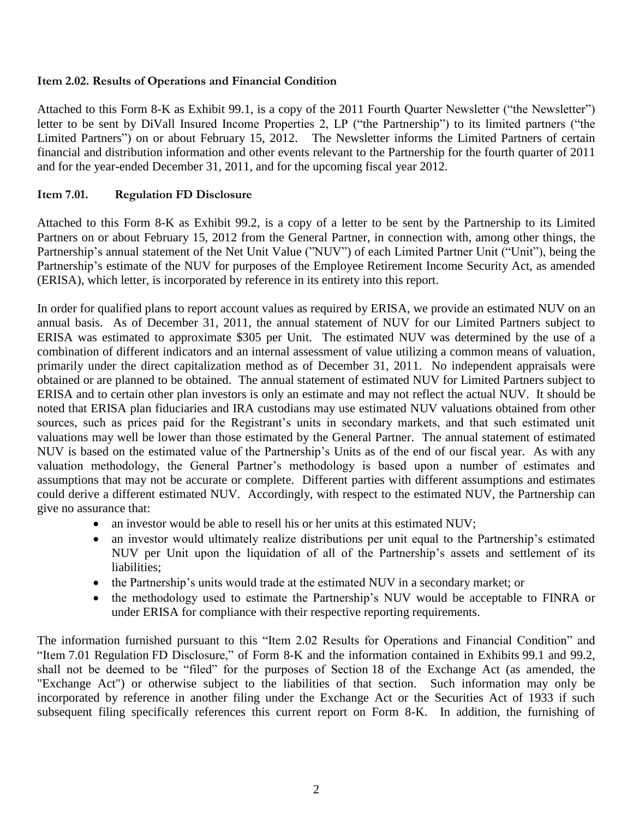## **Item 2.02. Results of Operations and Financial Condition**

Attached to this Form 8-K as Exhibit 99.1, is a copy of the 2011 Fourth Quarter Newsletter ("the Newsletter") letter to be sent by DiVall Insured Income Properties 2, LP ("the Partnership") to its limited partners ("the Limited Partners") on or about February 15, 2012. The Newsletter informs the Limited Partners of certain financial and distribution information and other events relevant to the Partnership for the fourth quarter of 2011 and for the year-ended December 31, 2011, and for the upcoming fiscal year 2012.

## **Item 7.01. Regulation FD Disclosure**

Attached to this Form 8-K as Exhibit 99.2, is a copy of a letter to be sent by the Partnership to its Limited Partners on or about February 15, 2012 from the General Partner, in connection with, among other things, the Partnership's annual statement of the Net Unit Value ("NUV") of each Limited Partner Unit ("Unit"), being the Partnership's estimate of the NUV for purposes of the Employee Retirement Income Security Act, as amended (ERISA), which letter, is incorporated by reference in its entirety into this report.

In order for qualified plans to report account values as required by ERISA, we provide an estimated NUV on an annual basis. As of December 31, 2011, the annual statement of NUV for our Limited Partners subject to ERISA was estimated to approximate \$305 per Unit. The estimated NUV was determined by the use of a combination of different indicators and an internal assessment of value utilizing a common means of valuation, primarily under the direct capitalization method as of December 31, 2011. No independent appraisals were obtained or are planned to be obtained. The annual statement of estimated NUV for Limited Partners subject to ERISA and to certain other plan investors is only an estimate and may not reflect the actual NUV. It should be noted that ERISA plan fiduciaries and IRA custodians may use estimated NUV valuations obtained from other sources, such as prices paid for the Registrant's units in secondary markets, and that such estimated unit valuations may well be lower than those estimated by the General Partner. The annual statement of estimated NUV is based on the estimated value of the Partnership's Units as of the end of our fiscal year. As with any valuation methodology, the General Partner's methodology is based upon a number of estimates and assumptions that may not be accurate or complete. Different parties with different assumptions and estimates could derive a different estimated NUV. Accordingly, with respect to the estimated NUV, the Partnership can give no assurance that:

- an investor would be able to resell his or her units at this estimated NUV;
- an investor would ultimately realize distributions per unit equal to the Partnership's estimated NUV per Unit upon the liquidation of all of the Partnership's assets and settlement of its liabilities;
- the Partnership's units would trade at the estimated NUV in a secondary market; or
- the methodology used to estimate the Partnership's NUV would be acceptable to FINRA or under ERISA for compliance with their respective reporting requirements.

The information furnished pursuant to this "Item 2.02 Results for Operations and Financial Condition" and "Item 7.01 Regulation FD Disclosure," of Form 8-K and the information contained in Exhibits 99.1 and 99.2, shall not be deemed to be "filed" for the purposes of Section 18 of the Exchange Act (as amended, the "Exchange Act") or otherwise subject to the liabilities of that section. Such information may only be incorporated by reference in another filing under the Exchange Act or the Securities Act of 1933 if such subsequent filing specifically references this current report on Form 8-K. In addition, the furnishing of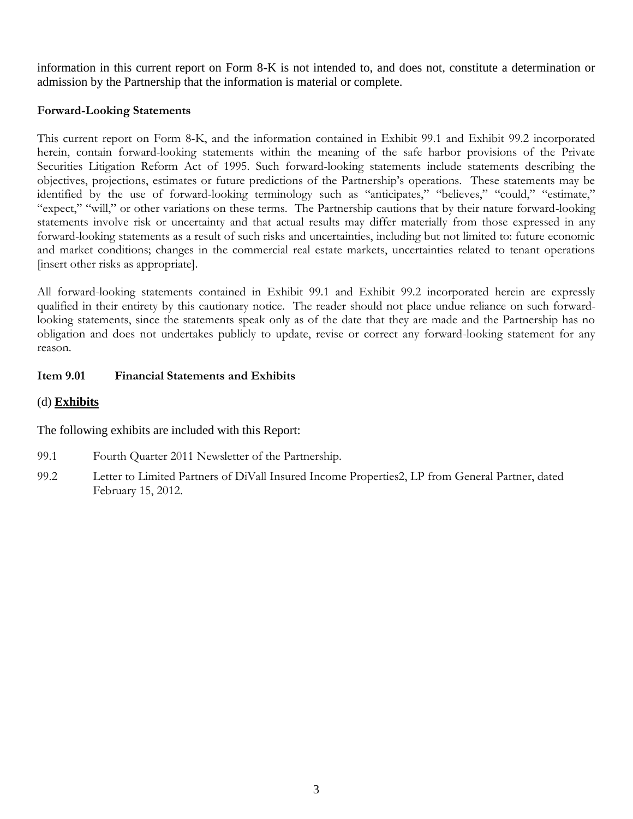information in this current report on Form 8-K is not intended to, and does not, constitute a determination or admission by the Partnership that the information is material or complete.

# **Forward-Looking Statements**

This current report on Form 8-K, and the information contained in Exhibit 99.1 and Exhibit 99.2 incorporated herein, contain forward-looking statements within the meaning of the safe harbor provisions of the Private Securities Litigation Reform Act of 1995. Such forward-looking statements include statements describing the objectives, projections, estimates or future predictions of the Partnership's operations. These statements may be identified by the use of forward-looking terminology such as "anticipates," "believes," "could," "estimate," "expect," "will," or other variations on these terms. The Partnership cautions that by their nature forward-looking statements involve risk or uncertainty and that actual results may differ materially from those expressed in any forward-looking statements as a result of such risks and uncertainties, including but not limited to: future economic and market conditions; changes in the commercial real estate markets, uncertainties related to tenant operations [insert other risks as appropriate].

All forward-looking statements contained in Exhibit 99.1 and Exhibit 99.2 incorporated herein are expressly qualified in their entirety by this cautionary notice. The reader should not place undue reliance on such forwardlooking statements, since the statements speak only as of the date that they are made and the Partnership has no obligation and does not undertakes publicly to update, revise or correct any forward-looking statement for any reason.

# **Item 9.01 Financial Statements and Exhibits**

# (d) **Exhibits**

The following exhibits are included with this Report:

- 99.1 Fourth Quarter 2011 Newsletter of the Partnership.
- 99.2 Letter to Limited Partners of DiVall Insured Income Properties2, LP from General Partner, dated February 15, 2012.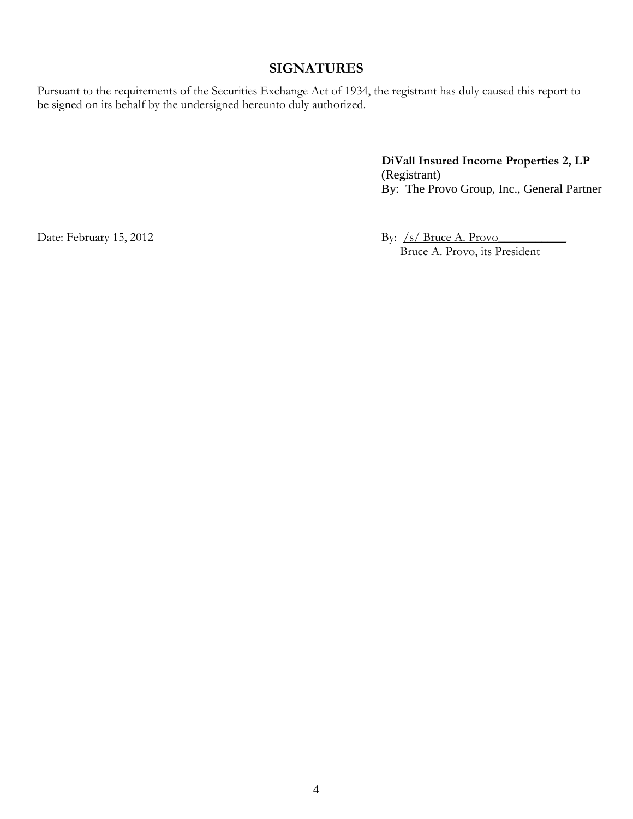# **SIGNATURES**

Pursuant to the requirements of the Securities Exchange Act of 1934, the registrant has duly caused this report to be signed on its behalf by the undersigned hereunto duly authorized.

> **DiVall Insured Income Properties 2, LP** (Registrant) By: The Provo Group, Inc., General Partner

Date: February 15, 2012 By: /s/ Bruce A. Provo\_\_\_\_\_\_\_\_\_\_\_\_\_\_\_\_\_\_\_\_\_\_\_\_\_\_\_\_\_\_\_\_\_\_ Bruce A. Provo, its President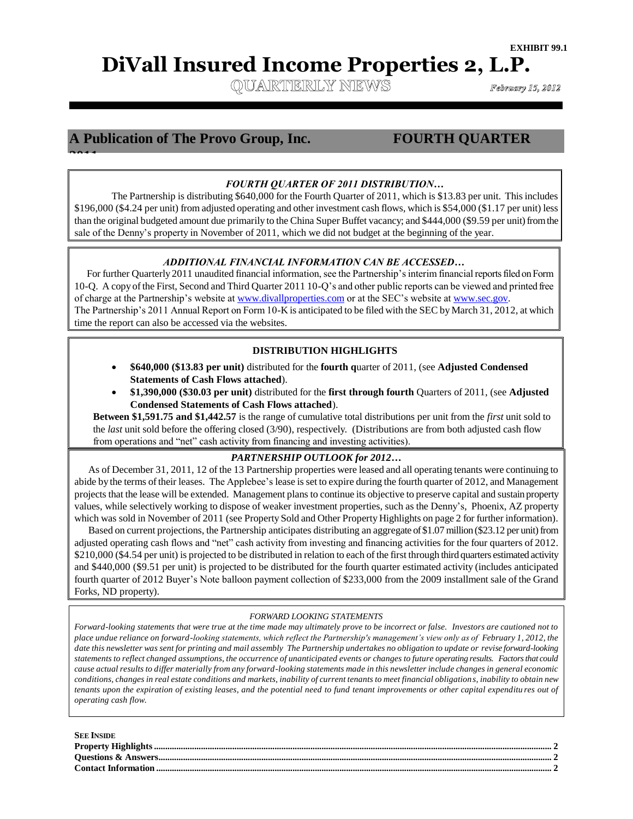# **DiVall Insured Income Properties 2, L.P.**

QUARTERLY NEWS

February 15, 2012

# **A Publication of The Provo Group, Inc. FOURTH QUARTER**

**2011**

### *FOURTH QUARTER OF 2011 DISTRIBUTION…*

The Partnership is distributing \$640,000 for the Fourth Quarter of 2011, which is \$13.83 per unit. This includes \$196,000 (\$4.24 per unit) from adjusted operating and other investment cash flows, which is \$54,000 (\$1.17 per unit) less than the original budgeted amount due primarily to the China Super Buffet vacancy; and \$444,000 (\$9.59 per unit) from the sale of the Denny's property in November of 2011, which we did not budget at the beginning of the year.

#### *ADDITIONAL FINANCIAL INFORMATION CAN BE ACCESSED…*

 For further Quarterly 2011 unaudited financial information, see the Partnership's interim financial reports filed on Form 10-Q. A copy of the First, Second and Third Quarter 2011 10-Q's and other public reports can be viewed and printed free of charge at the Partnership's website at [www.divallproperties.com](http://www.divallproperties.com/) or at the SEC's website at [www.sec.gov.](http://www.sec.gov/) The Partnership's 2011 Annual Report on Form 10-K is anticipated to be filed with the SEC by March 31, 2012, at which time the report can also be accessed via the websites.  $\equiv$ 

#### **DISTRIBUTION HIGHLIGHTS**

- **\$640,000 (\$13.83 per unit)** distributed for the **fourth q**uarter of 2011, (see **Adjusted Condensed Statements of Cash Flows attached**).
- **\$1,390,000 (\$30.03 per unit)** distributed for the **first through fourth** Quarters of 2011, (see **Adjusted Condensed Statements of Cash Flows attached**).

**Between \$1,591.75 and \$1,442.57** is the range of cumulative total distributions per unit from the *first* unit sold to the *last* unit sold before the offering closed (3/90), respectively. (Distributions are from both adjusted cash flow from operations and "net" cash activity from financing and investing activities).

#### *PARTNERSHIP OUTLOOK for 2012…*

As of December 31, 2011, 12 of the 13 Partnership properties were leased and all operating tenants were continuing to abide by the terms of their leases. The Applebee's lease is set to expire during the fourth quarter of 2012, and Management projects that the lease will be extended. Management plans to continue its objective to preserve capital and sustain property values, while selectively working to dispose of weaker investment properties, such as the Denny's, Phoenix, AZ property which was sold in November of 2011 (see Property Sold and Other Property Highlights on page 2 for further information).

Based on current projections, the Partnership anticipates distributing an aggregate of \$1.07 million (\$23.12 per unit) from adjusted operating cash flows and "net" cash activity from investing and financing activities for the four quarters of 2012. \$210,000 (\$4.54 per unit) is projected to be distributed in relation to each of the first through third quarters estimated activity and \$440,000 (\$9.51 per unit) is projected to be distributed for the fourth quarter estimated activity (includes anticipated fourth quarter of 2012 Buyer's Note balloon payment collection of \$233,000 from the 2009 installment sale of the Grand Forks, ND property).

#### *FORWARD LOOKING STATEMENTS*

*Forward-looking statements that were true at the time made may ultimately prove to be incorrect or false. Investors are cautioned not to place undue reliance on forward-looking statements, which reflect the Partnership's management's view only as of February 1, 2012, the date this newsletter was sent for printing and mail assembly The Partnership undertakes no obligation to update or revise forward-looking statements to reflect changed assumptions, the occurrence of unanticipated events or changes to future operating results. Factors that could cause actual results to differ materially from any forward-looking statements made in this newsletter include changes in general economic conditions, changes in real estate conditions and markets, inability of current tenants to meet financial obligation s, inability to obtain new tenants upon the expiration of existing leases, and the potential need to fund tenant improvements or other capital expenditu res out of operating cash flow.*

| <b>SEE INSIDE</b> |  |
|-------------------|--|
|                   |  |
|                   |  |
|                   |  |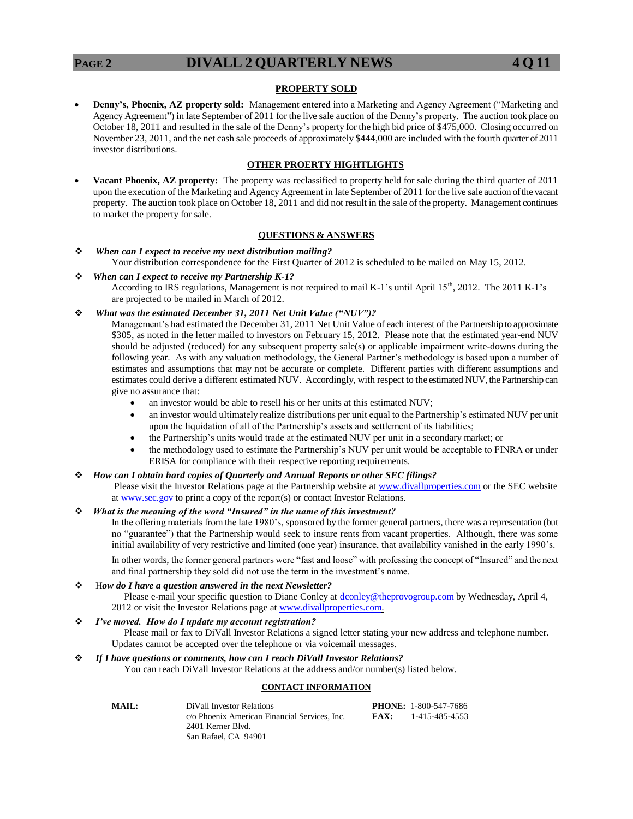#### **PROPERTY SOLD**

 **Denny's, Phoenix, AZ property sold:** Management entered into a Marketing and Agency Agreement ("Marketing and Agency Agreement") in late September of 2011 for the live sale auction of the Denny's property. The auction took place on October 18, 2011 and resulted in the sale of the Denny's property for the high bid price of \$475,000. Closing occurred on November 23, 2011, and the net cash sale proceeds of approximately \$444,000 are included with the fourth quarter of 2011 investor distributions.

#### **OTHER PROERTY HIGHTLIGHTS**

 **Vacant Phoenix, AZ property:** The property was reclassified to property held for sale during the third quarter of 2011 upon the execution of the Marketing and Agency Agreement in late September of 2011 for the live sale auction of the vacant property. The auction took place on October 18, 2011 and did not result in the sale of the property. Management continues to market the property for sale.

#### **QUESTIONS & ANSWERS**

- *When can I expect to receive my next distribution mailing?* Your distribution correspondence for the First Quarter of 2012 is scheduled to be mailed on May 15, 2012.
- *When can I expect to receive my Partnership K-1?* According to IRS regulations, Management is not required to mail K-1's until April 15<sup>th</sup>, 2012. The 2011 K-1's are projected to be mailed in March of 2012.
- *What was the estimated December 31, 2011 Net Unit Value ("NUV")?*

Management's had estimated the December 31, 2011 Net Unit Value of each interest of the Partnership to approximate \$305, as noted in the letter mailed to investors on February 15, 2012. Please note that the estimated year-end NUV should be adjusted (reduced) for any subsequent property sale(s) or applicable impairment write-downs during the following year. As with any valuation methodology, the General Partner's methodology is based upon a number of estimates and assumptions that may not be accurate or complete. Different parties with different assumptions and estimates could derive a different estimated NUV. Accordingly, with respect to the estimated NUV, the Partnership can give no assurance that:

- an investor would be able to resell his or her units at this estimated NUV;
- an investor would ultimately realize distributions per unit equal to the Partnership's estimated NUV per unit upon the liquidation of all of the Partnership's assets and settlement of its liabilities;
- the Partnership's units would trade at the estimated NUV per unit in a secondary market; or
- the methodology used to estimate the Partnership's NUV per unit would be acceptable to FINRA or under ERISA for compliance with their respective reporting requirements.

#### *How can I obtain hard copies of Quarterly and Annual Reports or other SEC filings?*

Please visit the Investor Relations page at the Partnership website at [www.divallproperties.com](http://www.divallproperties.com/) or the SEC website at [www.sec.gov](http://www.sec.gov/) to print a copy of the report(s) or contact Investor Relations.

#### *What is the meaning of the word "Insured" in the name of this investment?*

In the offering materials from the late 1980's, sponsored by the former general partners, there was a representation (but no "guarantee") that the Partnership would seek to insure rents from vacant properties. Although, there was some initial availability of very restrictive and limited (one year) insurance, that availability vanished in the early 1990's.

In other words, the former general partners were "fast and loose" with professing the concept of "Insured" and the next and final partnership they sold did not use the term in the investment's name.

#### H*ow do I have a question answered in the next Newsletter?*

Please e-mail your specific question to Diane Conley at [dconley@theprovogroup.com](mailto:dconley@theprovogroup.com) by Wednesday, April 4, 2012 or visit the Investor Relations page at [www.divallproperties.com.](http://www.divallproperties.com/)

#### *I've moved. How do I update my account registration?*

 Please mail or fax to DiVall Investor Relations a signed letter stating your new address and telephone number. Updates cannot be accepted over the telephone or via voicemail messages.

#### *If I have questions or comments, how can I reach DiVall Investor Relations?*

You can reach DiVall Investor Relations at the address and/or number(s) listed below.

#### **CONTACT INFORMATION**

| MAIL: | DiVall Investor Relations                     |      | <b>PHONE: 1-800-547-7686</b> |
|-------|-----------------------------------------------|------|------------------------------|
|       | c/o Phoenix American Financial Services, Inc. | FAX: | 1-415-485-4553               |
|       | 2401 Kerner Blvd.                             |      |                              |
|       | San Rafael, CA 94901                          |      |                              |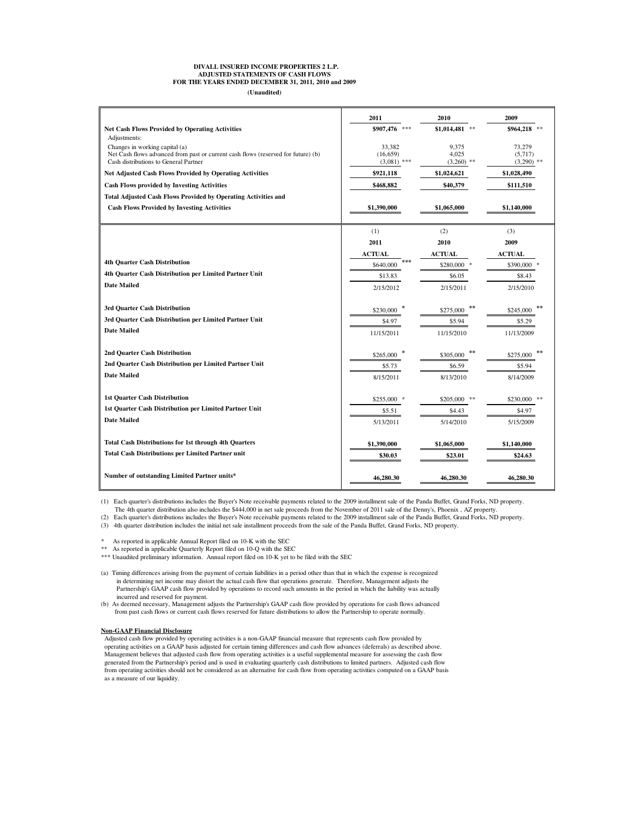#### **DIVALL INSURED INCOME PROPERTIES 2 L.P. ADJUSTED STATEMENTS OF CASH FLOWS FOR THE YEARS ENDED DECEMBER 31, 2011, 2010 and 2009**

**(Unaudited)**

| \$907,476 ***<br><b>Net Cash Flows Provided by Operating Activities</b><br>\$1,014,481<br>$\gg \gg$<br>\$964,218<br>Adjustments:<br>33.382<br>Changes in working capital (a)<br>9.375<br>73.279<br>Net Cash flows advanced from past or current cash flows (reserved for future) (b)<br>(16, 659)<br>4.025<br>(5,717)<br>Cash distributions to General Partner<br>$(3,081)$ ***<br>$(3,260)$ **<br>$(3,290)$ **<br>Net Adjusted Cash Flows Provided by Operating Activities<br>\$921,118<br>\$1,024,621<br>\$1,028,490<br>Cash Flows provided by Investing Activities<br>\$468,882<br>\$40,379<br>\$111,510<br>Total Adjusted Cash Flows Provided by Operating Activities and<br><b>Cash Flows Provided by Investing Activities</b><br>\$1,390,000<br>\$1,065,000<br>\$1,140,000<br>(1)<br>(2)<br>(3)<br>2011<br>2009<br>2010<br><b>ACTUAL</b><br><b>ACTUAL</b><br><b>ACTUAL</b><br><b>4th Quarter Cash Distribution</b><br>***<br>\$640,000<br>\$280,000<br>\$390,000<br>4th Quarter Cash Distribution per Limited Partner Unit<br>\$13.83<br>\$6.05<br>\$8.43<br><b>Date Mailed</b><br>2/15/2012<br>2/15/2011<br>2/15/2010<br>3rd Quarter Cash Distribution<br>\$230,000<br>\$275,000<br>\$245,000<br>3rd Quarter Cash Distribution per Limited Partner Unit<br>\$4.97<br>\$5.94<br>\$5.29<br><b>Date Mailed</b><br>11/15/2011<br>11/15/2010<br>11/13/2009<br>2nd Quarter Cash Distribution<br>\$265,000<br>\$305,000<br>\$275,000<br>2nd Quarter Cash Distribution per Limited Partner Unit<br>\$5.73<br>\$6.59<br>\$5.94<br><b>Date Mailed</b><br>8/15/2011<br>8/13/2010<br>8/14/2009<br><b>1st Quarter Cash Distribution</b><br>$$255,000$ *<br>$$205,000$ **<br>$$230,000$ **<br>1st Quarter Cash Distribution per Limited Partner Unit<br>\$5.51<br>\$4.43<br>\$4.97<br><b>Date Mailed</b><br>5/13/2011<br>5/14/2010<br>5/15/2009<br><b>Total Cash Distributions for 1st through 4th Quarters</b><br>\$1,390,000<br>\$1,065,000<br>\$1,140,000<br><b>Total Cash Distributions per Limited Partner unit</b><br>\$30.03<br>\$23.01<br>\$24.63 | 2011 | 2010 | 2009 |
|----------------------------------------------------------------------------------------------------------------------------------------------------------------------------------------------------------------------------------------------------------------------------------------------------------------------------------------------------------------------------------------------------------------------------------------------------------------------------------------------------------------------------------------------------------------------------------------------------------------------------------------------------------------------------------------------------------------------------------------------------------------------------------------------------------------------------------------------------------------------------------------------------------------------------------------------------------------------------------------------------------------------------------------------------------------------------------------------------------------------------------------------------------------------------------------------------------------------------------------------------------------------------------------------------------------------------------------------------------------------------------------------------------------------------------------------------------------------------------------------------------------------------------------------------------------------------------------------------------------------------------------------------------------------------------------------------------------------------------------------------------------------------------------------------------------------------------------------------------------------------------------------------------------------------------------------------------------------------------------------------------------------------------------------------|------|------|------|
|                                                                                                                                                                                                                                                                                                                                                                                                                                                                                                                                                                                                                                                                                                                                                                                                                                                                                                                                                                                                                                                                                                                                                                                                                                                                                                                                                                                                                                                                                                                                                                                                                                                                                                                                                                                                                                                                                                                                                                                                                                                    |      |      |      |
|                                                                                                                                                                                                                                                                                                                                                                                                                                                                                                                                                                                                                                                                                                                                                                                                                                                                                                                                                                                                                                                                                                                                                                                                                                                                                                                                                                                                                                                                                                                                                                                                                                                                                                                                                                                                                                                                                                                                                                                                                                                    |      |      |      |
|                                                                                                                                                                                                                                                                                                                                                                                                                                                                                                                                                                                                                                                                                                                                                                                                                                                                                                                                                                                                                                                                                                                                                                                                                                                                                                                                                                                                                                                                                                                                                                                                                                                                                                                                                                                                                                                                                                                                                                                                                                                    |      |      |      |
|                                                                                                                                                                                                                                                                                                                                                                                                                                                                                                                                                                                                                                                                                                                                                                                                                                                                                                                                                                                                                                                                                                                                                                                                                                                                                                                                                                                                                                                                                                                                                                                                                                                                                                                                                                                                                                                                                                                                                                                                                                                    |      |      |      |
|                                                                                                                                                                                                                                                                                                                                                                                                                                                                                                                                                                                                                                                                                                                                                                                                                                                                                                                                                                                                                                                                                                                                                                                                                                                                                                                                                                                                                                                                                                                                                                                                                                                                                                                                                                                                                                                                                                                                                                                                                                                    |      |      |      |
|                                                                                                                                                                                                                                                                                                                                                                                                                                                                                                                                                                                                                                                                                                                                                                                                                                                                                                                                                                                                                                                                                                                                                                                                                                                                                                                                                                                                                                                                                                                                                                                                                                                                                                                                                                                                                                                                                                                                                                                                                                                    |      |      |      |
|                                                                                                                                                                                                                                                                                                                                                                                                                                                                                                                                                                                                                                                                                                                                                                                                                                                                                                                                                                                                                                                                                                                                                                                                                                                                                                                                                                                                                                                                                                                                                                                                                                                                                                                                                                                                                                                                                                                                                                                                                                                    |      |      |      |
|                                                                                                                                                                                                                                                                                                                                                                                                                                                                                                                                                                                                                                                                                                                                                                                                                                                                                                                                                                                                                                                                                                                                                                                                                                                                                                                                                                                                                                                                                                                                                                                                                                                                                                                                                                                                                                                                                                                                                                                                                                                    |      |      |      |
|                                                                                                                                                                                                                                                                                                                                                                                                                                                                                                                                                                                                                                                                                                                                                                                                                                                                                                                                                                                                                                                                                                                                                                                                                                                                                                                                                                                                                                                                                                                                                                                                                                                                                                                                                                                                                                                                                                                                                                                                                                                    |      |      |      |
|                                                                                                                                                                                                                                                                                                                                                                                                                                                                                                                                                                                                                                                                                                                                                                                                                                                                                                                                                                                                                                                                                                                                                                                                                                                                                                                                                                                                                                                                                                                                                                                                                                                                                                                                                                                                                                                                                                                                                                                                                                                    |      |      |      |
|                                                                                                                                                                                                                                                                                                                                                                                                                                                                                                                                                                                                                                                                                                                                                                                                                                                                                                                                                                                                                                                                                                                                                                                                                                                                                                                                                                                                                                                                                                                                                                                                                                                                                                                                                                                                                                                                                                                                                                                                                                                    |      |      |      |
|                                                                                                                                                                                                                                                                                                                                                                                                                                                                                                                                                                                                                                                                                                                                                                                                                                                                                                                                                                                                                                                                                                                                                                                                                                                                                                                                                                                                                                                                                                                                                                                                                                                                                                                                                                                                                                                                                                                                                                                                                                                    |      |      |      |
|                                                                                                                                                                                                                                                                                                                                                                                                                                                                                                                                                                                                                                                                                                                                                                                                                                                                                                                                                                                                                                                                                                                                                                                                                                                                                                                                                                                                                                                                                                                                                                                                                                                                                                                                                                                                                                                                                                                                                                                                                                                    |      |      |      |
|                                                                                                                                                                                                                                                                                                                                                                                                                                                                                                                                                                                                                                                                                                                                                                                                                                                                                                                                                                                                                                                                                                                                                                                                                                                                                                                                                                                                                                                                                                                                                                                                                                                                                                                                                                                                                                                                                                                                                                                                                                                    |      |      |      |
|                                                                                                                                                                                                                                                                                                                                                                                                                                                                                                                                                                                                                                                                                                                                                                                                                                                                                                                                                                                                                                                                                                                                                                                                                                                                                                                                                                                                                                                                                                                                                                                                                                                                                                                                                                                                                                                                                                                                                                                                                                                    |      |      |      |
|                                                                                                                                                                                                                                                                                                                                                                                                                                                                                                                                                                                                                                                                                                                                                                                                                                                                                                                                                                                                                                                                                                                                                                                                                                                                                                                                                                                                                                                                                                                                                                                                                                                                                                                                                                                                                                                                                                                                                                                                                                                    |      |      |      |
|                                                                                                                                                                                                                                                                                                                                                                                                                                                                                                                                                                                                                                                                                                                                                                                                                                                                                                                                                                                                                                                                                                                                                                                                                                                                                                                                                                                                                                                                                                                                                                                                                                                                                                                                                                                                                                                                                                                                                                                                                                                    |      |      |      |
|                                                                                                                                                                                                                                                                                                                                                                                                                                                                                                                                                                                                                                                                                                                                                                                                                                                                                                                                                                                                                                                                                                                                                                                                                                                                                                                                                                                                                                                                                                                                                                                                                                                                                                                                                                                                                                                                                                                                                                                                                                                    |      |      |      |
|                                                                                                                                                                                                                                                                                                                                                                                                                                                                                                                                                                                                                                                                                                                                                                                                                                                                                                                                                                                                                                                                                                                                                                                                                                                                                                                                                                                                                                                                                                                                                                                                                                                                                                                                                                                                                                                                                                                                                                                                                                                    |      |      |      |
|                                                                                                                                                                                                                                                                                                                                                                                                                                                                                                                                                                                                                                                                                                                                                                                                                                                                                                                                                                                                                                                                                                                                                                                                                                                                                                                                                                                                                                                                                                                                                                                                                                                                                                                                                                                                                                                                                                                                                                                                                                                    |      |      |      |
|                                                                                                                                                                                                                                                                                                                                                                                                                                                                                                                                                                                                                                                                                                                                                                                                                                                                                                                                                                                                                                                                                                                                                                                                                                                                                                                                                                                                                                                                                                                                                                                                                                                                                                                                                                                                                                                                                                                                                                                                                                                    |      |      |      |
|                                                                                                                                                                                                                                                                                                                                                                                                                                                                                                                                                                                                                                                                                                                                                                                                                                                                                                                                                                                                                                                                                                                                                                                                                                                                                                                                                                                                                                                                                                                                                                                                                                                                                                                                                                                                                                                                                                                                                                                                                                                    |      |      |      |
|                                                                                                                                                                                                                                                                                                                                                                                                                                                                                                                                                                                                                                                                                                                                                                                                                                                                                                                                                                                                                                                                                                                                                                                                                                                                                                                                                                                                                                                                                                                                                                                                                                                                                                                                                                                                                                                                                                                                                                                                                                                    |      |      |      |
|                                                                                                                                                                                                                                                                                                                                                                                                                                                                                                                                                                                                                                                                                                                                                                                                                                                                                                                                                                                                                                                                                                                                                                                                                                                                                                                                                                                                                                                                                                                                                                                                                                                                                                                                                                                                                                                                                                                                                                                                                                                    |      |      |      |
|                                                                                                                                                                                                                                                                                                                                                                                                                                                                                                                                                                                                                                                                                                                                                                                                                                                                                                                                                                                                                                                                                                                                                                                                                                                                                                                                                                                                                                                                                                                                                                                                                                                                                                                                                                                                                                                                                                                                                                                                                                                    |      |      |      |
|                                                                                                                                                                                                                                                                                                                                                                                                                                                                                                                                                                                                                                                                                                                                                                                                                                                                                                                                                                                                                                                                                                                                                                                                                                                                                                                                                                                                                                                                                                                                                                                                                                                                                                                                                                                                                                                                                                                                                                                                                                                    |      |      |      |
|                                                                                                                                                                                                                                                                                                                                                                                                                                                                                                                                                                                                                                                                                                                                                                                                                                                                                                                                                                                                                                                                                                                                                                                                                                                                                                                                                                                                                                                                                                                                                                                                                                                                                                                                                                                                                                                                                                                                                                                                                                                    |      |      |      |
|                                                                                                                                                                                                                                                                                                                                                                                                                                                                                                                                                                                                                                                                                                                                                                                                                                                                                                                                                                                                                                                                                                                                                                                                                                                                                                                                                                                                                                                                                                                                                                                                                                                                                                                                                                                                                                                                                                                                                                                                                                                    |      |      |      |
|                                                                                                                                                                                                                                                                                                                                                                                                                                                                                                                                                                                                                                                                                                                                                                                                                                                                                                                                                                                                                                                                                                                                                                                                                                                                                                                                                                                                                                                                                                                                                                                                                                                                                                                                                                                                                                                                                                                                                                                                                                                    |      |      |      |
|                                                                                                                                                                                                                                                                                                                                                                                                                                                                                                                                                                                                                                                                                                                                                                                                                                                                                                                                                                                                                                                                                                                                                                                                                                                                                                                                                                                                                                                                                                                                                                                                                                                                                                                                                                                                                                                                                                                                                                                                                                                    |      |      |      |
|                                                                                                                                                                                                                                                                                                                                                                                                                                                                                                                                                                                                                                                                                                                                                                                                                                                                                                                                                                                                                                                                                                                                                                                                                                                                                                                                                                                                                                                                                                                                                                                                                                                                                                                                                                                                                                                                                                                                                                                                                                                    |      |      |      |
| Number of outstanding Limited Partner units*<br>46,280.30<br>46.280.30<br>46,280.30                                                                                                                                                                                                                                                                                                                                                                                                                                                                                                                                                                                                                                                                                                                                                                                                                                                                                                                                                                                                                                                                                                                                                                                                                                                                                                                                                                                                                                                                                                                                                                                                                                                                                                                                                                                                                                                                                                                                                                |      |      |      |

(1) Each quarter's distributions includes the Buyer's Note receivable payments related to the 2009 installment sale of the Panda Buffet, Grand Forks, ND property.

The 4th quarter distribution also includes the \$444,000 in net sale proceeds from the November of 2011 sale of the Denny's, Phoenix , AZ property.

(2) Each quarter's distributions includes the Buyer's Note receivable payments related to the 2009 installment sale of the Panda Buffet, Grand Forks, ND property.

(3) 4th quarter distribution includes the initial net sale installment proceeds from the sale of the Panda Buffet, Grand Forks, ND property.

As reported in applicable Annual Report filed on 10-K with the SEC

\*\* As reported in applicable Quarterly Report filed on 10-Q with the SEC

\*\*\* Unaudited preliminary information. Annual report filed on 10-K yet to be filed with the SEC

- (a) Timing differences arising from the payment of certain liabilities in a period other than that in which the expense is recognized in determining net income may distort the actual cash flow that operations generate. Therefore, Management adjusts the Partnership's GAAP cash flow provided by operations to record such amounts in the period in which the liability was actually incurred and reserved for payment.
- (b) As deemed necessary, Management adjusts the Partnership's GAAP cash flow provided by operations for cash flows advanced from past cash flows or current cash flows reserved for future distributions to allow the Partnership to operate normally.

#### **Non-GAAP Financial Disclosure**

 Adjusted cash flow provided by operating activities is a non-GAAP financial measure that represents cash flow provided by operating activities on a GAAP basis adjusted for certain timing differences and cash flow advances (deferrals) as described above. Management believes that adjusted cash flow from operating activities is a useful supplemental measure for assessing the cash flow generated from the Partnership's period and is used in evaluating quarterly cash distributions to limited partners. Adjusted cash flow from operating activities should not be considered as an alternative for cash flow from operating activities computed on a GAAP basis as a measure of our liquidity.